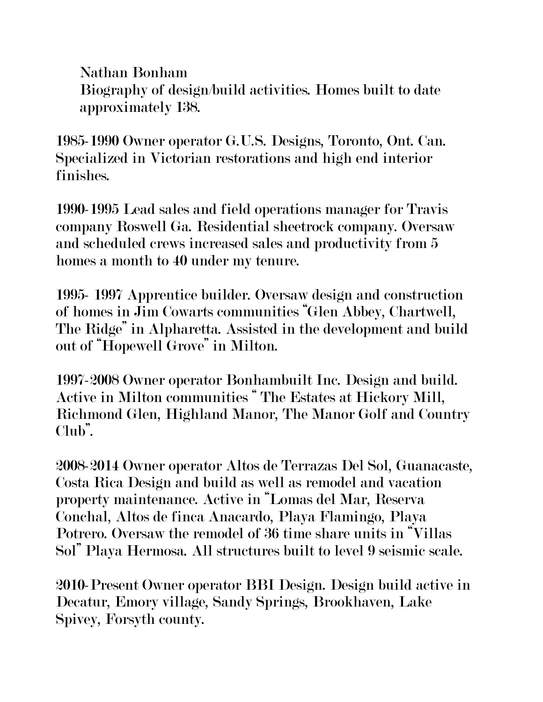Nathan Bonham Biography of design/build activities. Homes built to date approximately 138.

1985-1990 Owner operator G.U.S. Designs, Toronto, Ont. Can. Specialized in Victorian restorations and high end interior finishes.

1990-1995 Lead sales and field operations manager for Travis company Roswell Ga. Residential sheetrock company. Oversaw and scheduled crews increased sales and productivity from 5 homes a month to 40 under my tenure.

1995- 1997 Apprentice builder. Oversaw design and construction of homes in Jim Cowarts communities "Glen Abbey, Chartwell, The Ridge" in Alpharetta. Assisted in the development and build out of "Hopewell Grove" in Milton.

1997-2008 Owner operator Bonhambuilt Inc. Design and build. Active in Milton communities " The Estates at Hickory Mill, Richmond Glen, Highland Manor, The Manor Golf and Country Club".

2008-2014 Owner operator Altos de Terrazas Del Sol, Guanacaste, Costa Rica Design and build as well as remodel and vacation property maintenance. Active in "Lomas del Mar, Reserva Conchal, Altos de finca Anacardo, Playa Flamingo, Playa Potrero. Oversaw the remodel of 36 time share units in "Villas Sol" Playa Hermosa. All structures built to level 9 seismic scale.

2010-Present Owner operator BBI Design. Design build active in Decatur, Emory village, Sandy Springs, Brookhaven, Lake Spivey, Forsyth county.